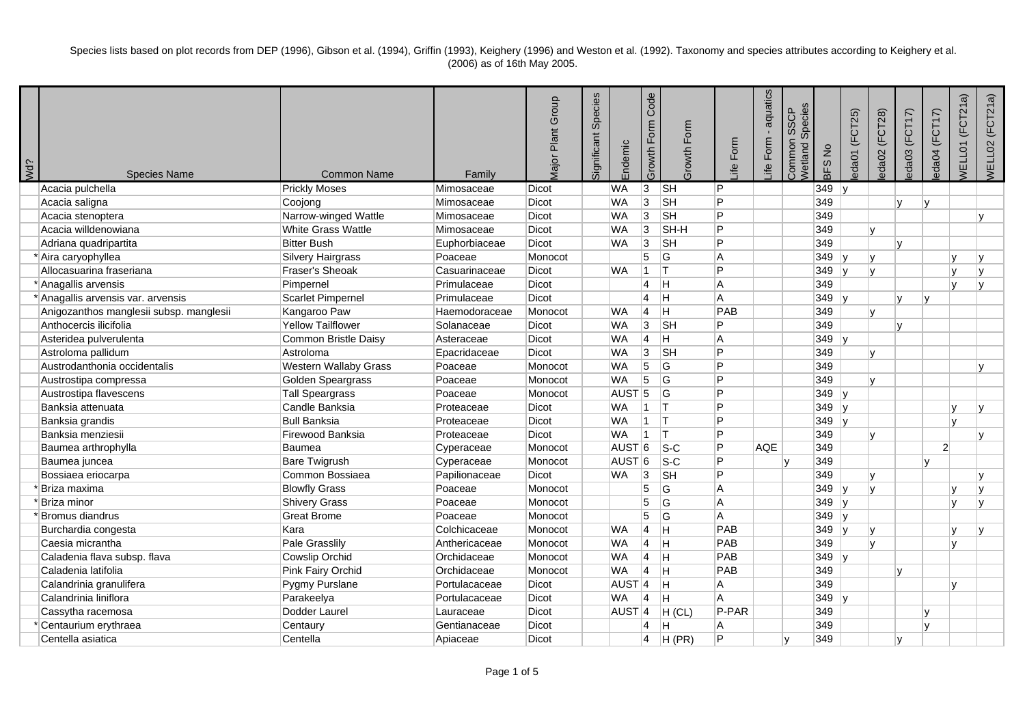| Wd? | <b>Species Name</b>                     | <b>Common Name</b>           | Family        | <b>Major Plant Group</b> | Species<br>Significant | Endemic             | Code<br>Growth Form     | Growth Form               | Form<br>Life   | aquatics<br>$\blacksquare$<br>Form<br>.ife | Species<br>Common SSCP<br><b>Vetland</b> | BFS No  | eda01 (FCT25)          | eda02 (FCT28) | eda03 (FCT17) | eda04 (FCT17)  | <b>NELLO1</b> (FCT21a) | WELL02 (FCT21a) |
|-----|-----------------------------------------|------------------------------|---------------|--------------------------|------------------------|---------------------|-------------------------|---------------------------|----------------|--------------------------------------------|------------------------------------------|---------|------------------------|---------------|---------------|----------------|------------------------|-----------------|
|     | Acacia pulchella                        | <b>Prickly Moses</b>         | Mimosaceae    | Dicot                    |                        | <b>WA</b>           | 3                       | $\overline{\mathbb{S}}$ H | P              |                                            |                                          | 349     |                        |               |               |                |                        |                 |
|     | Acacia saligna                          | Coojong                      | Mimosaceae    | Dicot                    |                        | <b>WA</b>           | 3                       | <b>SH</b>                 | P              |                                            |                                          | 349     |                        |               |               |                |                        |                 |
|     | Acacia stenoptera                       | Narrow-winged Wattle         | Mimosaceae    | Dicot                    |                        | <b>WA</b>           | 3                       | <b>SH</b>                 | P              |                                            |                                          | 349     |                        |               |               |                |                        |                 |
|     | Acacia willdenowiana                    | White Grass Wattle           | Mimosaceae    | Dicot                    |                        | <b>WA</b>           | 3                       | SH-H                      | P              |                                            |                                          | 349     |                        | lv            |               |                |                        |                 |
|     | Adriana quadripartita                   | <b>Bitter Bush</b>           | Euphorbiaceae | Dicot                    |                        | <b>WA</b>           | 3                       | <b>SH</b>                 | P              |                                            |                                          | 349     |                        |               | $\mathbf{v}$  |                |                        |                 |
|     | *Aira caryophyllea                      | <b>Silvery Hairgrass</b>     | Poaceae       | Monocot                  |                        |                     | 5                       | G                         | A              |                                            |                                          | 349     |                        | l٧            |               |                |                        |                 |
|     | Allocasuarina fraseriana                | Fraser's Sheoak              | Casuarinaceae | Dicot                    |                        | <b>WA</b>           | 1                       |                           | P              |                                            |                                          | 349     | ۱v                     | lv            |               |                |                        |                 |
|     | * Anagallis arvensis                    | Pimpernel                    | Primulaceae   | Dicot                    |                        |                     | $\overline{4}$          | lH.                       | A              |                                            |                                          | 349     |                        |               |               |                |                        |                 |
|     | * Anagallis arvensis var. arvensis      | <b>Scarlet Pimpernel</b>     | Primulaceae   | Dicot                    |                        |                     | $\overline{4}$          | lH.                       | A              |                                            |                                          | 349     |                        |               |               | v              |                        |                 |
|     | Anigozanthos manglesii subsp. manglesii | Kangaroo Paw                 | Haemodoraceae | Monocot                  |                        | <b>WA</b>           | 14                      | lH.                       | PAB            |                                            |                                          | 349     |                        | $\mathbf{v}$  |               |                |                        |                 |
|     | Anthocercis ilicifolia                  | <b>Yellow Tailflower</b>     | Solanaceae    | Dicot                    |                        | <b>WA</b>           | 3                       | <b>SH</b>                 | Þ              |                                            |                                          | 349     |                        |               | $\mathbf{v}$  |                |                        |                 |
|     | Asteridea pulverulenta                  | Common Bristle Daisy         | Asteraceae    | Dicot                    |                        | <b>WA</b>           | 4                       | lH.                       | A              |                                            |                                          | $349$ y |                        |               |               |                |                        |                 |
|     | Astroloma pallidum                      | Astroloma                    | Epacridaceae  | Dicot                    |                        | <b>WA</b>           | 3                       | $\overline{\mathsf{S}}$ H | P              |                                            |                                          | 349     |                        | lv.           |               |                |                        |                 |
|     | Austrodanthonia occidentalis            | <b>Western Wallaby Grass</b> | Poaceae       | Monocot                  |                        | <b>WA</b>           | 5                       | ΙG                        | P              |                                            |                                          | 349     |                        |               |               |                |                        |                 |
|     | Austrostipa compressa                   | Golden Speargrass            | Poaceae       | Monocot                  |                        | <b>WA</b>           | $\overline{5}$          | G                         | P              |                                            |                                          | 349     |                        | l٧            |               |                |                        |                 |
|     | Austrostipa flavescens                  | <b>Tall Speargrass</b>       | Poaceae       | Monocot                  |                        | AUST <sub>5</sub>   |                         | <b>G</b>                  | D              |                                            |                                          | $349$ y |                        |               |               |                |                        |                 |
|     | Banksia attenuata                       | Candle Banksia               | Proteaceae    | Dicot                    |                        | <b>WA</b>           | $\vert$ 1               | Iт                        | Þ              |                                            |                                          | 349     | $\mathsf{I}\mathsf{v}$ |               |               |                |                        | $\mathbf v$     |
|     | Banksia grandis                         | <b>Bull Banksia</b>          | Proteaceae    | Dicot                    |                        | <b>WA</b>           | 1                       | Iт.                       | P              |                                            |                                          | 349     | $\mathsf{I}\mathsf{v}$ |               |               |                | ۱v                     |                 |
|     | Banksia menziesii                       | Firewood Banksia             | Proteaceae    | Dicot                    |                        | <b>WA</b>           | $\vert$ 1               | IΤ                        | P              |                                            |                                          | 349     |                        | lv            |               |                |                        | $\mathbf{v}$    |
|     | Baumea arthrophylla                     | <b>Baumea</b>                | Cyperaceae    | Monocot                  |                        | AUST <sup>6</sup>   |                         | $\overline{\text{S-C}}$   | P              | <b>AQE</b>                                 |                                          | 349     |                        |               |               | $\overline{2}$ |                        |                 |
|     | Baumea juncea                           | <b>Bare Twigrush</b>         | Cyperaceae    | Monocot                  |                        | AUST <sup>6</sup>   |                         | $ S-C $                   | P              |                                            | lv.                                      | 349     |                        |               |               |                |                        |                 |
|     | Bossiaea eriocarpa                      | Common Bossiaea              | Papilionaceae | Dicot                    |                        | <b>WA</b>           | 3                       | <b>SH</b>                 | P              |                                            |                                          | 349     |                        | $\mathbf{v}$  |               |                |                        |                 |
|     | ' Briza maxima                          | <b>Blowfly Grass</b>         | Poaceae       | Monocot                  |                        |                     | 5                       | lG.                       | A              |                                            |                                          | $349$ y |                        | l٧            |               |                |                        |                 |
|     | Briza minor                             | <b>Shivery Grass</b>         | Poaceae       | Monocot                  |                        |                     | 5                       | G                         | A              |                                            |                                          | 349     | v                      |               |               |                |                        |                 |
|     | Bromus diandrus                         | <b>Great Brome</b>           | Poaceae       | Monocot                  |                        |                     | 5                       | ΙG                        | $\overline{A}$ |                                            |                                          | 349     | v                      |               |               |                |                        |                 |
|     | Burchardia congesta                     | Kara                         | Colchicaceae  | Monocot                  |                        | <b>WA</b>           | $\overline{4}$          | Iн.                       | PAB            |                                            |                                          | 349     | lv.                    | ١v            |               |                |                        |                 |
|     | Caesia micrantha                        | Pale Grasslily               | Anthericaceae | Monocot                  |                        | <b>WA</b>           | 4                       | ΙH.                       | PAB            |                                            |                                          | 349     |                        | lv            |               |                | lv.                    |                 |
|     | Caladenia flava subsp. flava            | <b>Cowslip Orchid</b>        | Orchidaceae   | Monocot                  |                        | <b>WA</b>           | 4                       | lн.                       | PAB            |                                            |                                          | $349$ y |                        |               |               |                |                        |                 |
|     | Caladenia latifolia                     | Pink Fairy Orchid            | Orchidaceae   | Monocot                  |                        | <b>WA</b>           | $\overline{4}$          | H                         | PAB            |                                            |                                          | 349     |                        |               | $\mathsf{v}$  |                |                        |                 |
|     | Calandrinia granulifera                 | Pygmy Purslane               | Portulacaceae | Dicot                    |                        | AUST <sup>4</sup>   |                         | ΙH.                       | A              |                                            |                                          | 349     |                        |               |               |                | $\mathbf{v}$           |                 |
|     | Calandrinia liniflora                   | Parakeelya                   | Portulacaceae | Dicot                    |                        | <b>WA</b>           | $\overline{4}$          | lH.                       | A              |                                            |                                          | 349     |                        |               |               |                |                        |                 |
|     | Cassytha racemosa                       | Dodder Laurel                | Lauraceae     | Dicot                    |                        | $AUST$ <sup>4</sup> |                         | H (CL)                    | P-PAR          |                                            |                                          | 349     |                        |               |               |                |                        |                 |
|     | Centaurium erythraea                    | Centaury                     | Gentianaceae  | Dicot                    |                        |                     | $\overline{\mathbf{4}}$ | н                         | Α              |                                            |                                          | 349     |                        |               |               | IV.            |                        |                 |
|     | Centella asiatica                       | Centella                     | Apiaceae      | Dicot                    |                        |                     | $\overline{4}$          | H(PR)                     | P              |                                            | ١v                                       | 349     |                        |               | l v           |                |                        |                 |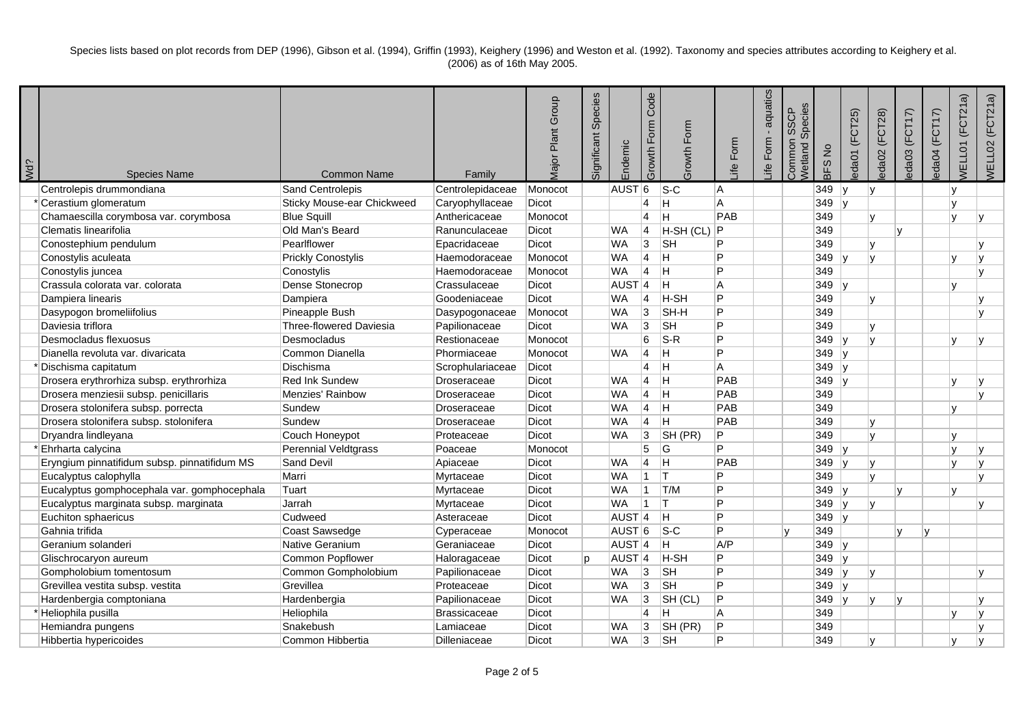|                 |                                              |                                |                     | <b>Major Plant Group</b> | Species<br>Significant | Endemic             | Code<br>Growth Form | Growth Form     | Form           | aquatics<br>Form | Species<br>Common SSCP<br>Wetland: | BFS No  | eda01 (FCT25)          | eda02 (FCT28) | eda03 (FCT17) | eda04 (FCT17) | (FCT21a)<br><b>NELL01</b> | WELL02 (FCT21a) |
|-----------------|----------------------------------------------|--------------------------------|---------------------|--------------------------|------------------------|---------------------|---------------------|-----------------|----------------|------------------|------------------------------------|---------|------------------------|---------------|---------------|---------------|---------------------------|-----------------|
| V <sub>d?</sub> | <b>Species Name</b>                          | <b>Common Name</b>             | Family              |                          |                        |                     |                     |                 | _ife           | _ife             |                                    |         |                        |               |               |               |                           |                 |
|                 | Centrolepis drummondiana                     | Sand Centrolepis               | Centrolepidaceae    | Monocot                  |                        | AUST <sup>6</sup>   |                     | $ S-C $         | A              |                  |                                    | 349     | 1v                     | lv            |               |               | $\mathbf{v}$              |                 |
|                 | Cerastium glomeratum                         | Sticky Mouse-ear Chickweed     | Caryophyllaceae     | <b>Dicot</b>             |                        |                     | 4                   | Η               | A              |                  |                                    | $349$ y |                        |               |               |               | $\mathsf{v}$              |                 |
|                 | Chamaescilla corymbosa var. corymbosa        | <b>Blue Squill</b>             | Anthericaceae       | Monocot                  |                        |                     | $\overline{4}$      | H.              | PAB            |                  |                                    | 349     |                        | $\mathsf{v}$  |               |               | $\mathbf{v}$              |                 |
|                 | Clematis linearifolia                        | Old Man's Beard                | Ranunculaceae       | Dicot                    |                        | <b>WA</b>           | 4                   | $H-SH (CL)$ $P$ |                |                  |                                    | 349     |                        |               | lv.           |               |                           |                 |
|                 | Conostephium pendulum                        | Pearlflower                    | Epacridaceae        | Dicot                    |                        | <b>WA</b>           | 3                   | <b>SH</b>       | P              |                  |                                    | 349     |                        | v             |               |               |                           |                 |
|                 | Conostylis aculeata                          | <b>Prickly Conostylis</b>      | Haemodoraceae       | Monocot                  |                        | <b>WA</b>           | 4                   | H.              | P              |                  |                                    | $349$ y |                        | lv            |               |               | $\mathbf{v}$              |                 |
|                 | Conostylis juncea                            | Conostylis                     | Haemodoraceae       | Monocot                  |                        | <b>WA</b>           | $\overline{4}$      | H.              | P              |                  |                                    | 349     |                        |               |               |               |                           | $\mathbf{v}$    |
|                 | Crassula colorata var. colorata              | Dense Stonecrop                | Crassulaceae        | Dicot                    |                        | AUST <sub>4</sub>   |                     | н               | A              |                  |                                    | $349$ y |                        |               |               |               | $\mathbf{v}$              |                 |
|                 | Dampiera linearis                            | Dampiera                       | Goodeniaceae        | Dicot                    |                        | <b>WA</b>           | 4                   | H-SH            | P              |                  |                                    | 349     |                        |               |               |               |                           |                 |
|                 | Dasypogon bromeliifolius                     | Pineapple Bush                 | Dasypogonaceae      | Monocot                  |                        | <b>WA</b>           | 3                   | SH-H            | P              |                  |                                    | 349     |                        |               |               |               |                           |                 |
|                 | Daviesia triflora                            | <b>Three-flowered Daviesia</b> | Papilionaceae       | Dicot                    |                        | <b>WA</b>           | 3                   | <b>SH</b>       | P              |                  |                                    | 349     |                        |               |               |               |                           |                 |
|                 | Desmocladus flexuosus                        | Desmocladus                    | Restionaceae        | Monocot                  |                        |                     | 6                   | $S-R$           | P              |                  |                                    | $349$ y |                        |               |               |               |                           |                 |
|                 | Dianella revoluta var. divaricata            | Common Dianella                | Phormiaceae         | Monocot                  |                        | <b>WA</b>           | $\overline{4}$      | H               | P              |                  |                                    | 349     | ∣v                     |               |               |               |                           |                 |
|                 | Dischisma capitatum                          | Dischisma                      | Scrophulariaceae    | Dicot                    |                        |                     | 4                   | H               | A              |                  |                                    | 349     | ∣v                     |               |               |               |                           |                 |
|                 | Drosera erythrorhiza subsp. erythrorhiza     | <b>Red Ink Sundew</b>          | Droseraceae         | <b>Dicot</b>             |                        | <b>WA</b>           | $\overline{4}$      | Η               | PAB            |                  |                                    | 349     |                        |               |               |               |                           |                 |
|                 | Drosera menziesii subsp. penicillaris        | Menzies' Rainbow               | Droseraceae         | Dicot                    |                        | <b>WA</b>           | 4                   | H               | PAB            |                  |                                    | 349     |                        |               |               |               |                           | $\mathbf{v}$    |
|                 | Drosera stolonifera subsp. porrecta          | Sundew                         | Droseraceae         | Dicot                    |                        | <b>WA</b>           | 4                   | H.              | PAB            |                  |                                    | 349     |                        |               |               |               | $\mathsf{v}$              |                 |
|                 | Drosera stolonifera subsp. stolonifera       | Sundew                         | Droseraceae         | Dicot                    |                        | <b>WA</b>           | 4                   | Η               | PAB            |                  |                                    | 349     |                        | $\mathsf{v}$  |               |               |                           |                 |
|                 | Dryandra lindleyana                          | Couch Honeypot                 | Proteaceae          | Dicot                    |                        | <b>WA</b>           | 3                   | SH (PR)         | P              |                  |                                    | 349     |                        | $\mathbf{v}$  |               |               | $\mathbf{v}$              |                 |
|                 | Ehrharta calycina                            | <b>Perennial Veldtgrass</b>    | Poaceae             | Monocot                  |                        |                     | 5                   | G               | $\overline{P}$ |                  |                                    | $349$ y |                        |               |               |               | $\mathbf{v}$              |                 |
|                 | Eryngium pinnatifidum subsp. pinnatifidum MS | Sand Devil                     | Apiaceae            | <b>Dicot</b>             |                        | <b>WA</b>           | $\overline{4}$      | H               | PAB            |                  |                                    | 349     | $\mathsf{I}\mathsf{v}$ |               |               |               |                           |                 |
|                 | Eucalyptus calophylla                        | Marri                          | Myrtaceae           | <b>Dicot</b>             |                        | <b>WA</b>           | $\mathbf 1$         | lΤ              | P              |                  |                                    | 349     |                        | lv            |               |               |                           | $\mathbf{v}$    |
|                 | Eucalyptus gomphocephala var. gomphocephala  | Tuart                          | Myrtaceae           | <b>Dicot</b>             |                        | <b>WA</b>           | 1                   | T/M             | P              |                  |                                    | $349$ y |                        |               | $\mathbf v$   |               | v                         |                 |
|                 | Eucalyptus marginata subsp. marginata        | Jarrah                         | Myrtaceae           | <b>Dicot</b>             |                        | <b>WA</b>           | 1                   | IT.             | P              |                  |                                    | 349     |                        | lv.           |               |               |                           |                 |
|                 | Euchiton sphaericus                          | Cudweed                        | Asteraceae          | Dicot                    |                        | AUST <sub>4</sub>   |                     | H.              | P              |                  |                                    | $349$ y |                        |               |               |               |                           |                 |
|                 | Gahnia trifida                               | Coast Sawsedge                 | Cyperaceae          | Monocot                  |                        | AUST <sub>6</sub>   |                     | $ S-C$          | P              |                  |                                    | 349     |                        |               |               |               |                           |                 |
|                 | Geranium solanderi                           | Native Geranium                | Geraniaceae         | Dicot                    |                        | $AUST$ <sup>4</sup> |                     | H.              | A/P            |                  |                                    | 349     | ∣v                     |               |               |               |                           |                 |
|                 | Glischrocaryon aureum                        | Common Popflower               | Haloragaceae        | <b>Dicot</b>             | <sub>D</sub>           | AUST <sup>4</sup>   |                     | H-SH            | P              |                  |                                    | 349     | $\mathsf{I}\mathsf{v}$ |               |               |               |                           |                 |
|                 | Gompholobium tomentosum                      | Common Gompholobium            | Papilionaceae       | <b>Dicot</b>             |                        | <b>WA</b>           | 3                   | <b>SH</b>       | P              |                  |                                    | $349$ y |                        |               |               |               |                           |                 |
|                 | Grevillea vestita subsp. vestita             | Grevillea                      | Proteaceae          | <b>Dicot</b>             |                        | <b>WA</b>           | 3                   | <b>SH</b>       | P              |                  |                                    | 349     | -lv                    |               |               |               |                           |                 |
|                 | Hardenbergia comptoniana                     | Hardenbergia                   | Papilionaceae       | <b>Dicot</b>             |                        | <b>WA</b>           | 3                   | SH (CL)         | P              |                  |                                    | 349     | ∣v                     | $\mathsf{v}$  | IV.           |               |                           |                 |
|                 | Heliophila pusilla                           | Heliophila                     | <b>Brassicaceae</b> | <b>Dicot</b>             |                        |                     | 4                   | н               | A              |                  |                                    | 349     |                        |               |               |               | v                         |                 |
|                 | Hemiandra pungens                            | Snakebush                      | Lamiaceae           | <b>Dicot</b>             |                        | <b>WA</b>           | 3                   | SH (PR)         | P              |                  |                                    | 349     |                        |               |               |               |                           |                 |
|                 | Hibbertia hypericoides                       | Common Hibbertia               | Dilleniaceae        | Dicot                    |                        | <b>WA</b>           | 3                   | <b>SH</b>       | P              |                  |                                    | 349     |                        | $\mathsf{v}$  |               |               | $\mathbf{v}$              | $\mathbf{v}$    |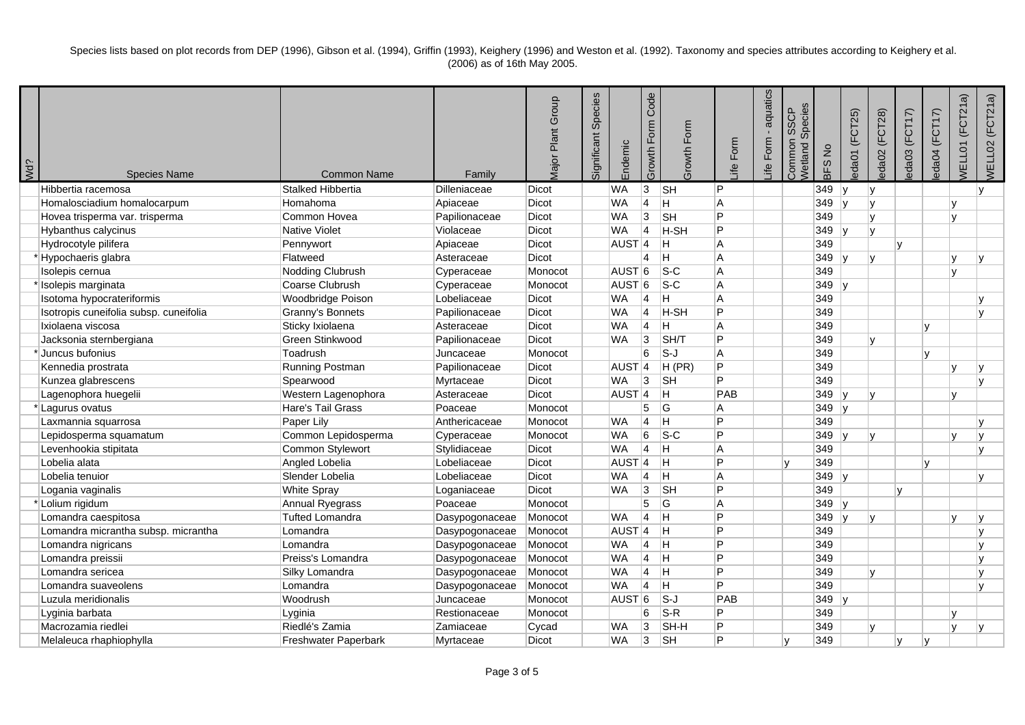| Wd? | <b>Species Name</b>                    | <b>Common Name</b>          | Family         | <b>Major Plant Group</b> | Species<br>Significant | Endemic           | Code<br>Growth Form     | Growth Form                | Form<br>_ife | aquatics<br>Form<br>Life | Species<br><b>SSCP</b><br>Common<br><b>Netland</b> | BFS No  | (FCT25)<br>eda01       | eda02 (FCT28) | eda03 (FCT17) | eda04 (FCT17) | (FCT21a)<br><b>VELL01</b> | WELL02 (FCT21a) |
|-----|----------------------------------------|-----------------------------|----------------|--------------------------|------------------------|-------------------|-------------------------|----------------------------|--------------|--------------------------|----------------------------------------------------|---------|------------------------|---------------|---------------|---------------|---------------------------|-----------------|
|     | Hibbertia racemosa                     | <b>Stalked Hibbertia</b>    | Dilleniaceae   | <b>Dicot</b>             |                        | <b>WA</b>         | $\overline{3}$          | $\overline{\mathsf{S}}$ H  | P            |                          |                                                    | 349     | $\mathsf{I}\mathsf{V}$ | lv            |               |               |                           | $\mathsf{v}$    |
|     | Homalosciadium homalocarpum            | Homahoma                    | Apiaceae       | Dicot                    |                        | <b>WA</b>         | $\overline{4}$          | IH.                        | A            |                          |                                                    | 349     | v                      | $\mathsf{v}$  |               |               | v                         |                 |
|     | Hovea trisperma var. trisperma         | Common Hovea                | Papilionaceae  | <b>Dicot</b>             |                        | <b>WA</b>         | 3                       | <b>SH</b>                  | P            |                          |                                                    | 349     |                        | $\mathbf v$   |               |               | $\mathbf{v}$              |                 |
|     | Hybanthus calycinus                    | <b>Native Violet</b>        | Violaceae      | Dicot                    |                        | <b>WA</b>         | $\overline{4}$          | H-SH                       | P            |                          |                                                    | $349$ y |                        | $\mathbf{v}$  |               |               |                           |                 |
|     | Hydrocotyle pilifera                   | Pennywort                   | Apiaceae       | Dicot                    |                        | AUST <sub>4</sub> |                         | lH.                        | A            |                          |                                                    | 349     |                        |               | IV.           |               |                           |                 |
|     | *Hypochaeris glabra                    | Flatweed                    | Asteraceae     | Dicot                    |                        |                   | 4                       | H                          | A            |                          |                                                    | $349$ y |                        | $\mathsf{v}$  |               |               | V                         |                 |
|     | Isolepis cernua                        | Nodding Clubrush            | Cyperaceae     | Monocot                  |                        | AUST <sub>6</sub> |                         | $ S-C$                     | A            |                          |                                                    | 349     |                        |               |               |               | v                         |                 |
|     | Isolepis marginata                     | Coarse Clubrush             | Cyperaceae     | Monocot                  |                        | AUST <sub>6</sub> |                         | $S-C$                      | A            |                          |                                                    | $349$ y |                        |               |               |               |                           |                 |
|     | Isotoma hypocrateriformis              | Woodbridge Poison           | Lobeliaceae    | Dicot                    |                        | <b>WA</b>         | 4                       | H.                         | A            |                          |                                                    | 349     |                        |               |               |               |                           |                 |
|     | Isotropis cuneifolia subsp. cuneifolia | Granny's Bonnets            | Papilionaceae  | Dicot                    |                        | <b>WA</b>         | 4                       | H-SH                       | P            |                          |                                                    | 349     |                        |               |               |               |                           |                 |
|     | Ixiolaena viscosa                      | Sticky Ixiolaena            | Asteraceae     | Dicot                    |                        | <b>WA</b>         | 4                       | Η                          | A            |                          |                                                    | 349     |                        |               |               |               |                           |                 |
|     | Jacksonia sternbergiana                | Green Stinkwood             | Papilionaceae  | Dicot                    |                        | <b>WA</b>         | Ι3                      | SH/T                       | P            |                          |                                                    | 349     |                        |               |               |               |                           |                 |
|     | *Juncus bufonius                       | Toadrush                    | Juncaceae      | Monocot                  |                        |                   | 6                       | $s-J$                      | A            |                          |                                                    | 349     |                        |               |               |               |                           |                 |
|     | Kennedia prostrata                     | Running Postman             | Papilionaceae  | Dicot                    |                        | AUST <sub>4</sub> |                         | H (PR)                     | P            |                          |                                                    | 349     |                        |               |               |               |                           |                 |
|     | Kunzea glabrescens                     | Spearwood                   | Myrtaceae      | Dicot                    |                        | <b>WA</b>         | 3                       | <b>SH</b>                  | P            |                          |                                                    | 349     |                        |               |               |               |                           |                 |
|     | Lagenophora huegelii                   | Western Lagenophora         | Asteraceae     | <b>Dicot</b>             |                        | AUST <sub>4</sub> |                         | H.                         | PAB          |                          |                                                    | 349     | 1V                     | $\mathbf v$   |               |               | $\mathbf{v}$              |                 |
|     | * Lagurus ovatus                       | Hare's Tail Grass           | Poaceae        | Monocot                  |                        |                   | 5                       | G                          | A            |                          |                                                    | $349$ y |                        |               |               |               |                           |                 |
|     | Laxmannia squarrosa                    | Paper Lily                  | Anthericaceae  | Monocot                  |                        | <b>WA</b>         | 4                       | Ħ                          | P            |                          |                                                    | 349     |                        |               |               |               |                           |                 |
|     | Lepidosperma squamatum                 | Common Lepidosperma         | Cyperaceae     | Monocot                  |                        | <b>WA</b>         | 6                       | $ S-C $                    | P            |                          |                                                    | 349     | lv.                    | $\mathsf{v}$  |               |               | $\mathbf{v}$              | $\mathsf{v}$    |
|     | Levenhookia stipitata                  | Common Stylewort            | Stylidiaceae   | Dicot                    |                        | <b>WA</b>         | 4                       | H                          | Α            |                          |                                                    | 349     |                        |               |               |               |                           | v               |
|     | Lobelia alata                          | Angled Lobelia              | Lobeliaceae    | Dicot                    |                        | AUST <sub>4</sub> |                         | Iн.                        | P            |                          | lv.                                                | 349     |                        |               |               |               |                           |                 |
|     | Lobelia tenuior                        | Slender Lobelia             | Lobeliaceae    | <b>Dicot</b>             |                        | <b>WA</b>         | 4                       | H                          | A            |                          |                                                    | 349     | $\mathsf{I}\mathsf{v}$ |               |               |               |                           |                 |
|     | Logania vaginalis                      | <b>White Spray</b>          | Loganiaceae    | Dicot                    |                        | <b>WA</b>         | 3                       | <b>SH</b>                  | P            |                          |                                                    | 349     |                        |               | v             |               |                           |                 |
|     | *Lolium rigidum                        | Annual Ryegrass             | Poaceae        | Monocot                  |                        |                   | 5                       | lG.                        | A            |                          |                                                    | $349$ y |                        |               |               |               |                           |                 |
|     | Lomandra caespitosa                    | <b>Tufted Lomandra</b>      | Dasypogonaceae | Monocot                  |                        | <b>WA</b>         | $\overline{\mathbf{4}}$ | lH.                        | P            |                          |                                                    | 349     |                        | $\mathbf{v}$  |               |               |                           |                 |
|     | Lomandra micrantha subsp. micrantha    | Lomandra                    | Dasypogonaceae | Monocot                  |                        | AUST <sub>4</sub> |                         | IН.                        | P            |                          |                                                    | 349     |                        |               |               |               |                           |                 |
|     | Lomandra nigricans                     | Lomandra                    | Dasypogonaceae | Monocot                  |                        | <b>WA</b>         | 4                       | lн.                        | P            |                          |                                                    | 349     |                        |               |               |               |                           |                 |
|     | Lomandra preissii                      | Preiss's Lomandra           | Dasypogonaceae | Monocot                  |                        | <b>WA</b>         | 4                       | lH.                        | P            |                          |                                                    | 349     |                        |               |               |               |                           |                 |
|     | Lomandra sericea                       | Silky Lomandra              | Dasypogonaceae | Monocot                  |                        | <b>WA</b>         | $\overline{\mathbf{4}}$ | H                          | P            |                          |                                                    | 349     |                        |               |               |               |                           |                 |
|     | Lomandra suaveolens                    | Lomandra                    | Dasypogonaceae | Monocot                  |                        | <b>WA</b>         | $\overline{4}$          | lH.                        | P            |                          |                                                    | 349     |                        |               |               |               |                           |                 |
|     | Luzula meridionalis                    | Woodrush                    | Juncaceae      | Monocot                  |                        | AUST <sub>6</sub> |                         | $\overline{\mathsf{s}}$ -J | PAB          |                          |                                                    | $349$ y |                        |               |               |               |                           |                 |
|     | Lyginia barbata                        | Lyginia                     | Restionaceae   | Monocot                  |                        |                   | 6                       | $S-R$                      | P            |                          |                                                    | 349     |                        |               |               |               | v                         |                 |
|     | Macrozamia riedlei                     | Riedlé's Zamia              | Zamiaceae      | Cycad                    |                        | <b>WA</b>         | 3                       | SH-H                       | P            |                          |                                                    | 349     |                        |               |               |               |                           |                 |
|     | Melaleuca rhaphiophylla                | <b>Freshwater Paperbark</b> | Mvrtaceae      | <b>Dicot</b>             |                        | <b>WA</b>         | 3                       | <b>SH</b>                  | P            |                          | ۱v                                                 | 349     |                        |               | IV.           |               |                           |                 |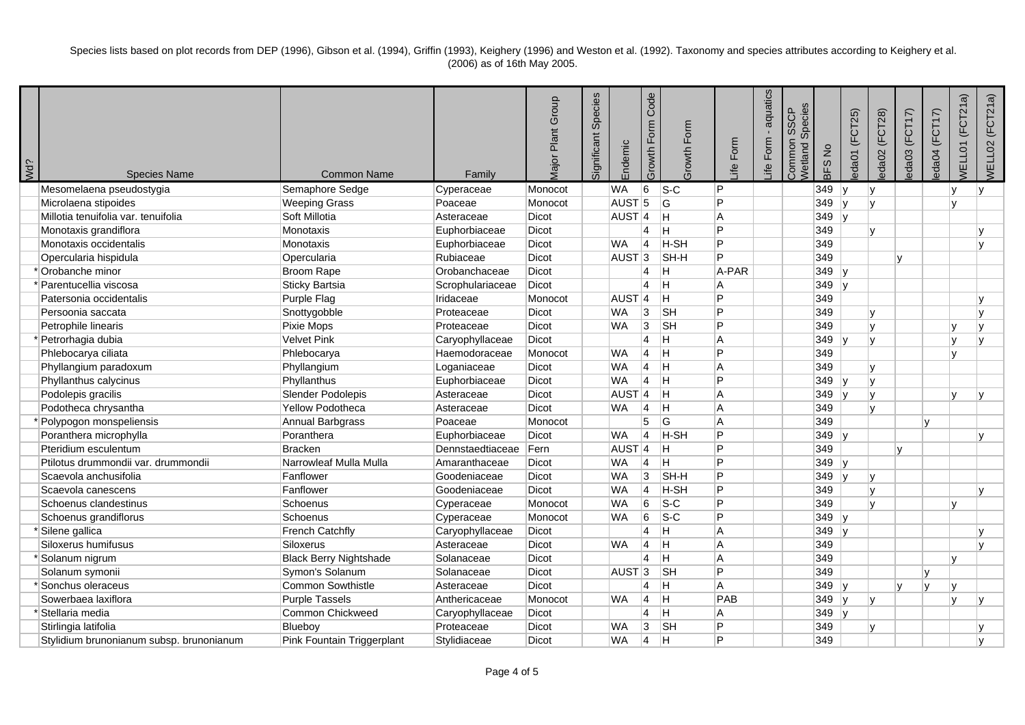| Wd? | <b>Species Name</b>                      | <b>Common Name</b>            | Family           | <b>Major Plant Group</b> | Species<br>Significant | Endemic             | Code<br>Form<br>Growth I | Growth Form | Form<br><u>ej</u> | aquatics<br>Form<br>_ife | Species<br>SSCP<br>Common<br>Wetland | BFS No  | (FCT25)<br>eda01       | eda02 (FCT28) | eda03 (FCT17) | eda04 (FCT17) | (FCT21a)<br><b>NELL01</b> | WELL02 (FCT21a) |
|-----|------------------------------------------|-------------------------------|------------------|--------------------------|------------------------|---------------------|--------------------------|-------------|-------------------|--------------------------|--------------------------------------|---------|------------------------|---------------|---------------|---------------|---------------------------|-----------------|
|     | Mesomelaena pseudostygia                 | Semaphore Sedge               | Cyperaceae       | Monocot                  |                        | <b>WA</b>           | 6                        | $ S-C $     | P                 |                          |                                      | 349     | ∣v                     | lv            |               |               | $\mathbf{v}$              | $\mathsf{v}$    |
|     | Microlaena stipoides                     | <b>Weeping Grass</b>          | Poaceae          | Monocot                  |                        | AUST <sub>5</sub>   |                          | G           | P                 |                          |                                      | 349     | $\mathsf{I}\mathsf{v}$ | $\mathsf{v}$  |               |               | $\mathbf{v}$              |                 |
|     | Millotia tenuifolia var. tenuifolia      | Soft Millotia                 | Asteraceae       | <b>Dicot</b>             |                        | $AUST$ <sup>4</sup> |                          | Η           | A                 |                          |                                      | 349     | ∣v                     |               |               |               |                           |                 |
|     | Monotaxis grandiflora                    | Monotaxis                     | Euphorbiaceae    | <b>Dicot</b>             |                        |                     | $\overline{4}$           | H           | P                 |                          |                                      | 349     |                        | $\mathbf v$   |               |               |                           |                 |
|     | Monotaxis occidentalis                   | Monotaxis                     | Euphorbiaceae    | <b>Dicot</b>             |                        | <b>WA</b>           | 4                        | H-SH        | $\overline{P}$    |                          |                                      | 349     |                        |               |               |               |                           | v               |
|     | Opercularia hispidula                    | Opercularia                   | Rubiaceae        | <b>Dicot</b>             |                        | AUST <sub>3</sub>   |                          | SH-H        | P                 |                          |                                      | 349     |                        |               | $\mathbf{v}$  |               |                           |                 |
|     | Orobanche minor                          | <b>Broom Rape</b>             | Orobanchaceae    | <b>Dicot</b>             |                        |                     | 4                        | H.          | A-PAR             |                          |                                      | 349     | ∣v                     |               |               |               |                           |                 |
|     | Parentucellia viscosa                    | Sticky Bartsia                | Scrophulariaceae | <b>Dicot</b>             |                        |                     | 4                        | Н           | A                 |                          |                                      | $349$ y |                        |               |               |               |                           |                 |
|     | Patersonia occidentalis                  | Purple Flag                   | Iridaceae        | Monocot                  |                        | AUST <sup>4</sup>   |                          | H           | P                 |                          |                                      | 349     |                        |               |               |               |                           |                 |
|     | Persoonia saccata                        | Snottygobble                  | Proteaceae       | Dicot                    |                        | <b>WA</b>           | 3                        | <b>SH</b>   | P                 |                          |                                      | 349     |                        |               |               |               |                           |                 |
|     | Petrophile linearis                      | Pixie Mops                    | Proteaceae       | <b>Dicot</b>             |                        | <b>WA</b>           | 3                        | <b>SH</b>   | P                 |                          |                                      | 349     |                        |               |               |               |                           |                 |
|     | Petrorhagia dubia                        | Velvet Pink                   | Caryophyllaceae  | Dicot                    |                        |                     | $\overline{\mathbf{4}}$  | H           | A                 |                          |                                      | $349$ y |                        |               |               |               |                           |                 |
|     | Phlebocarya ciliata                      | Phlebocarya                   | Haemodoraceae    | Monocot                  |                        | <b>WA</b>           | $\overline{4}$           | Η           | P                 |                          |                                      | 349     |                        |               |               |               |                           |                 |
|     | Phyllangium paradoxum                    | Phyllangium                   | Loganiaceae      | Dicot                    |                        | <b>WA</b>           | $\overline{4}$           | Η           | A                 |                          |                                      | 349     |                        |               |               |               |                           |                 |
|     | Phyllanthus calycinus                    | Phyllanthus                   | Euphorbiaceae    | <b>Dicot</b>             |                        | <b>WA</b>           | 4                        | Н           | P                 |                          |                                      | 349     | -lv                    |               |               |               |                           |                 |
|     | Podolepis gracilis                       | Slender Podolepis             | Asteraceae       | Dicot                    |                        | AUST <sub>4</sub>   |                          | H           | A                 |                          |                                      | 349     | ∣v                     | $\mathsf{v}$  |               |               | v                         |                 |
|     | Podotheca chrysantha                     | Yellow Podotheca              | Asteraceae       | <b>Dicot</b>             |                        | <b>WA</b>           | $\overline{4}$           | H           | A                 |                          |                                      | 349     |                        | $\mathbf{v}$  |               |               |                           |                 |
|     | Polypogon monspeliensis                  | Annual Barbgrass              | Poaceae          | Monocot                  |                        |                     | $\overline{5}$           | G           | A                 |                          |                                      | 349     |                        |               |               |               |                           |                 |
|     | Poranthera microphylla                   | Poranthera                    | Euphorbiaceae    | <b>Dicot</b>             |                        | <b>WA</b>           | $\overline{\mathbf{4}}$  | H-SH        | P                 |                          |                                      | $349$ y |                        |               |               |               |                           | v               |
|     | Pteridium esculentum                     | Bracken                       | Dennstaedtiaceae | Fern                     |                        | AUST <sup>4</sup>   |                          | H           | P                 |                          |                                      | 349     |                        |               | v             |               |                           |                 |
|     | Ptilotus drummondii var. drummondii      | Narrowleaf Mulla Mulla        | Amaranthaceae    | Dicot                    |                        | <b>WA</b>           | 14                       | Н           | P                 |                          |                                      | $349$ y |                        |               |               |               |                           |                 |
|     | Scaevola anchusifolia                    | Fanflower                     | Goodeniaceae     | <b>Dicot</b>             |                        | <b>WA</b>           | 3                        | SH-H        | P                 |                          |                                      | 349     |                        | $\mathbf v$   |               |               |                           |                 |
|     | Scaevola canescens                       | Fanflower                     | Goodeniaceae     | Dicot                    |                        | <b>WA</b>           | 4                        | H-SH        | P                 |                          |                                      | 349     |                        |               |               |               |                           |                 |
|     | Schoenus clandestinus                    | Schoenus                      | Cyperaceae       | Monocot                  |                        | <b>WA</b>           | 6                        | $s-c$       | P                 |                          |                                      | 349     |                        |               |               |               |                           |                 |
|     | Schoenus grandiflorus                    | Schoenus                      | Cyperaceae       | Monocot                  |                        | <b>WA</b>           | $6\phantom{.}6$          | $s-c$       | P                 |                          |                                      | 349     |                        |               |               |               |                           |                 |
|     | <sup>*</sup> Silene gallica              | <b>French Catchfly</b>        | Caryophyllaceae  | Dicot                    |                        |                     | $\overline{4}$           | H           | A                 |                          |                                      | 349     | 1v                     |               |               |               |                           |                 |
|     | Siloxerus humifusus                      | Siloxerus                     | Asteraceae       | Dicot                    |                        | <b>WA</b>           | 4                        | Н           | A                 |                          |                                      | 349     |                        |               |               |               |                           |                 |
|     | Solanum nigrum                           | <b>Black Berry Nightshade</b> | Solanaceae       | <b>Dicot</b>             |                        |                     | $\overline{4}$           | Н           | A                 |                          |                                      | 349     |                        |               |               |               | $\mathbf{v}$              |                 |
|     | Solanum symonii                          | Symon's Solanum               | Solanaceae       | Dicot                    |                        | AUST <sub>3</sub>   |                          | <b>SH</b>   | P                 |                          |                                      | 349     |                        |               |               |               |                           |                 |
|     | 'Sonchus oleraceus                       | Common Sowthistle             | Asteraceae       | <b>Dicot</b>             |                        |                     | 4                        | Η           | A                 |                          |                                      | $349$ y |                        |               | v             |               | $\mathbf{v}$              |                 |
|     | Sowerbaea laxiflora                      | <b>Purple Tassels</b>         | Anthericaceae    | Monocot                  |                        | <b>WA</b>           | $\overline{4}$           | Η           | PAB               |                          |                                      | 349     |                        | ١v            |               |               | $\mathsf{v}$              |                 |
|     | <sup>*</sup> Stellaria media             | Common Chickweed              | Caryophyllaceae  | <b>Dicot</b>             |                        |                     | $\overline{4}$           | H           | A                 |                          |                                      | $349$ y |                        |               |               |               |                           |                 |
|     | Stirlingia latifolia                     | Blueboy                       | Proteaceae       | <b>Dicot</b>             |                        | <b>WA</b>           | 3                        | <b>SH</b>   | P                 |                          |                                      | 349     |                        |               |               |               |                           |                 |
|     | Stylidium brunonianum subsp. brunonianum | Pink Fountain Triggerplant    | Stylidiaceae     | Dicot                    |                        | <b>WA</b>           | $\overline{\mathbf{A}}$  | н           | P                 |                          |                                      | 349     |                        |               |               |               |                           | $\mathbf{v}$    |